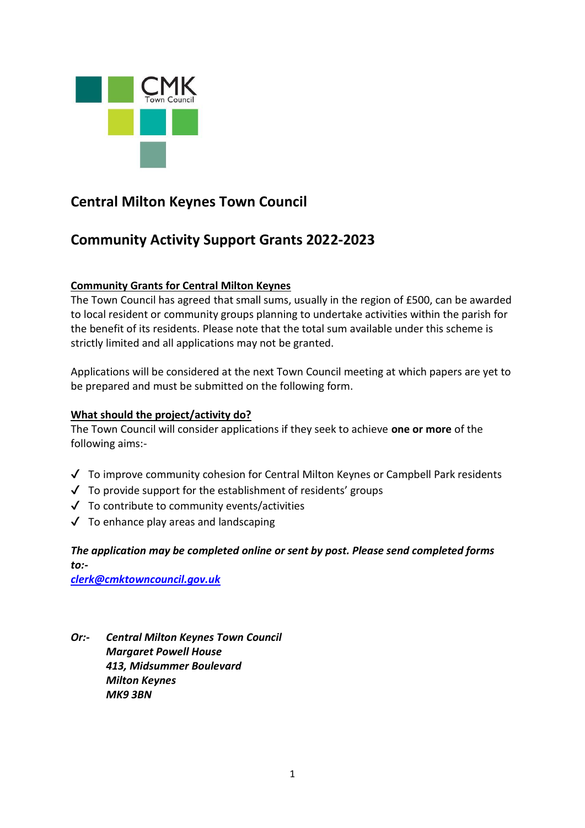

## **Central Milton Keynes Town Council**

## **Community Activity Support Grants 2022-2023**

#### **Community Grants for Central Milton Keynes**

The Town Council has agreed that small sums, usually in the region of £500, can be awarded to local resident or community groups planning to undertake activities within the parish for the benefit of its residents. Please note that the total sum available under this scheme is strictly limited and all applications may not be granted.

Applications will be considered at the next Town Council meeting at which papers are yet to be prepared and must be submitted on the following form.

#### **What should the project/activity do?**

The Town Council will consider applications if they seek to achieve **one or more** of the following aims:-

- $\checkmark$  To improve community cohesion for Central Milton Keynes or Campbell Park residents
- $\sqrt{\phantom{a}}$  To provide support for the establishment of residents' groups
- $\checkmark$  To contribute to community events/activities
- $\checkmark$  To enhance play areas and landscaping

### *The application may be completed online or sent by post. Please send completed forms to:-*

*[clerk@cmktowncouncil.gov.uk](mailto:clerk@cmktowncouncil.gov.uk)*

*Or:- Central Milton Keynes Town Council Margaret Powell House 413, Midsummer Boulevard Milton Keynes MK9 3BN*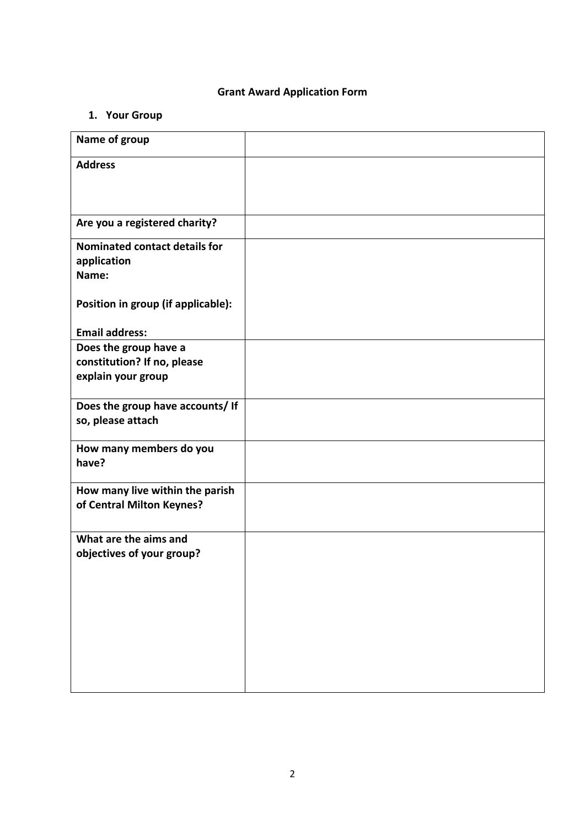#### **Grant Award Application Form**

#### **1. Your Group**

| Name of group                        |  |
|--------------------------------------|--|
| <b>Address</b>                       |  |
|                                      |  |
|                                      |  |
| Are you a registered charity?        |  |
| <b>Nominated contact details for</b> |  |
| application<br>Name:                 |  |
|                                      |  |
| Position in group (if applicable):   |  |
| <b>Email address:</b>                |  |
| Does the group have a                |  |
| constitution? If no, please          |  |
| explain your group                   |  |
| Does the group have accounts/ If     |  |
| so, please attach                    |  |
| How many members do you              |  |
| have?                                |  |
| How many live within the parish      |  |
| of Central Milton Keynes?            |  |
| What are the aims and                |  |
| objectives of your group?            |  |
|                                      |  |
|                                      |  |
|                                      |  |
|                                      |  |
|                                      |  |
|                                      |  |
|                                      |  |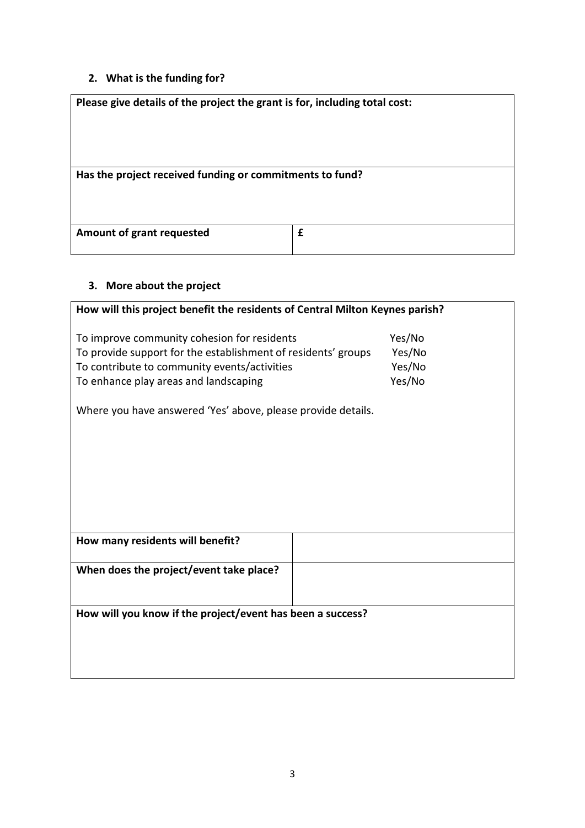# **2. What is the funding for?**

| Please give details of the project the grant is for, including total cost: |   |  |  |  |
|----------------------------------------------------------------------------|---|--|--|--|
| Has the project received funding or commitments to fund?                   |   |  |  |  |
| Amount of grant requested                                                  | £ |  |  |  |

### **3. More about the project**

| How will this project benefit the residents of Central Milton Keynes parish?                                                                                                                          |                                      |  |  |  |
|-------------------------------------------------------------------------------------------------------------------------------------------------------------------------------------------------------|--------------------------------------|--|--|--|
| To improve community cohesion for residents<br>To provide support for the establishment of residents' groups<br>To contribute to community events/activities<br>To enhance play areas and landscaping | Yes/No<br>Yes/No<br>Yes/No<br>Yes/No |  |  |  |
| Where you have answered 'Yes' above, please provide details.                                                                                                                                          |                                      |  |  |  |
|                                                                                                                                                                                                       |                                      |  |  |  |
|                                                                                                                                                                                                       |                                      |  |  |  |
|                                                                                                                                                                                                       |                                      |  |  |  |
|                                                                                                                                                                                                       |                                      |  |  |  |
| How many residents will benefit?                                                                                                                                                                      |                                      |  |  |  |
| When does the project/event take place?                                                                                                                                                               |                                      |  |  |  |
|                                                                                                                                                                                                       |                                      |  |  |  |
| How will you know if the project/event has been a success?                                                                                                                                            |                                      |  |  |  |
|                                                                                                                                                                                                       |                                      |  |  |  |
|                                                                                                                                                                                                       |                                      |  |  |  |